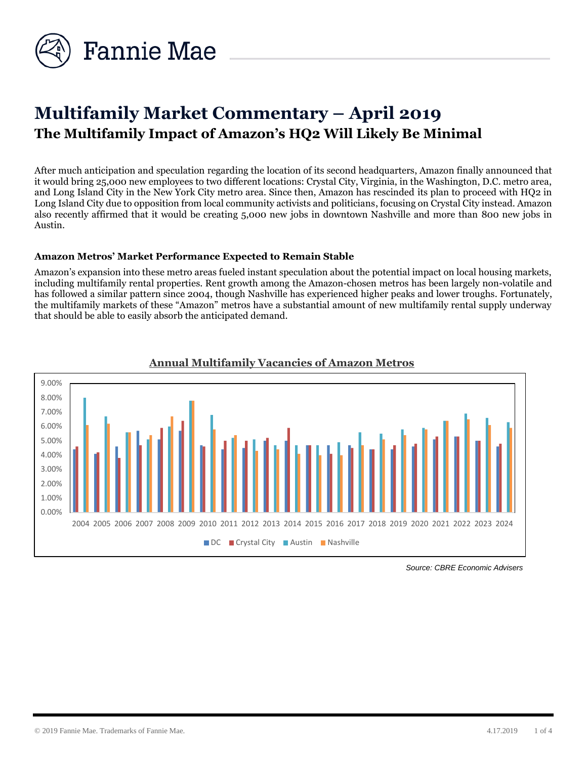

# **Multifamily Market Commentary – April 2019 The Multifamily Impact of Amazon's HQ2 Will Likely Be Minimal**

After much anticipation and speculation regarding the location of its second headquarters, Amazon finally announced that it would bring 25,000 new employees to two different locations: Crystal City, Virginia, in the Washington, D.C. metro area, and Long Island City in the New York City metro area. Since then, Amazon has rescinded its plan to proceed with HQ2 in Long Island City due to opposition from local community activists and politicians, focusing on Crystal City instead. Amazon also recently affirmed that it would be creating 5,000 new jobs in downtown Nashville and more than 800 new jobs in Austin.

#### **Amazon Metros' Market Performance Expected to Remain Stable**

Amazon's expansion into these metro areas fueled instant speculation about the potential impact on local housing markets, including multifamily rental properties. Rent growth among the Amazon-chosen metros has been largely non-volatile and has followed a similar pattern since 2004, though Nashville has experienced higher peaks and lower troughs. Fortunately, the multifamily markets of these "Amazon" metros have a substantial amount of new multifamily rental supply underway that should be able to easily absorb the anticipated demand.



# **Annual Multifamily Vacancies of Amazon Metros**

*Source: CBRE Economic Advisers*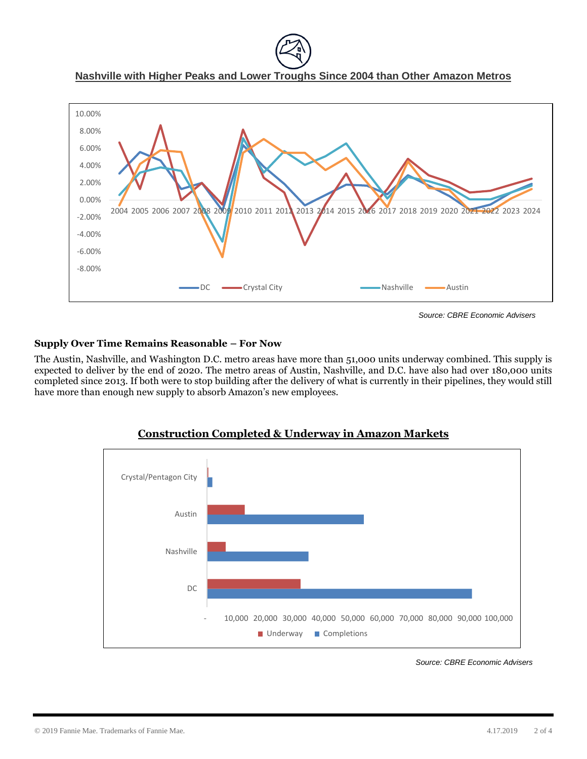**Nashville with Higher Peaks and Lower Troughs Since 2004 than Other Amazon Metros**



*Source: CBRE Economic Advisers*

## **Supply Over Time Remains Reasonable – For Now**

The Austin, Nashville, and Washington D.C. metro areas have more than 51,000 units underway combined. This supply is expected to deliver by the end of 2020. The metro areas of Austin, Nashville, and D.C. have also had over 180,000 units completed since 2013. If both were to stop building after the delivery of what is currently in their pipelines, they would still have more than enough new supply to absorb Amazon's new employees.



# **Construction Completed & Underway in Amazon Markets**

*Source: CBRE Economic Advisers*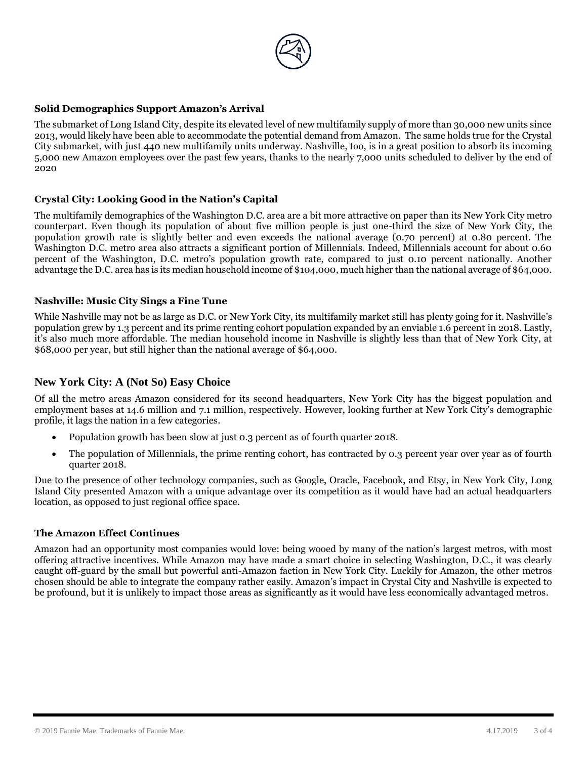

## **Solid Demographics Support Amazon's Arrival**

The submarket of Long Island City, despite its elevated level of new multifamily supply of more than 30,000 new units since 2013, would likely have been able to accommodate the potential demand from Amazon. The same holds true for the Crystal City submarket, with just 440 new multifamily units underway. Nashville, too, is in a great position to absorb its incoming 5,000 new Amazon employees over the past few years, thanks to the nearly 7,000 units scheduled to deliver by the end of 2020

#### **Crystal City: Looking Good in the Nation's Capital**

The multifamily demographics of the Washington D.C. area are a bit more attractive on paper than its New York City metro counterpart. Even though its population of about five million people is just one-third the size of New York City, the population growth rate is slightly better and even exceeds the national average (0.70 percent) at 0.80 percent. The Washington D.C. metro area also attracts a significant portion of Millennials. Indeed, Millennials account for about 0.60 percent of the Washington, D.C. metro's population growth rate, compared to just 0.10 percent nationally. Another advantage the D.C. area has is its median household income of \$104,000, much higher than the national average of \$64,000.

#### **Nashville: Music City Sings a Fine Tune**

While Nashville may not be as large as D.C. or New York City, its multifamily market still has plenty going for it. Nashville's population grew by 1.3 percent and its prime renting cohort population expanded by an enviable 1.6 percent in 2018. Lastly, it's also much more affordable. The median household income in Nashville is slightly less than that of New York City, at \$68,000 per year, but still higher than the national average of \$64,000.

#### **New York City: A (Not So) Easy Choice**

Of all the metro areas Amazon considered for its second headquarters, New York City has the biggest population and employment bases at 14.6 million and 7.1 million, respectively. However, looking further at New York City's demographic profile, it lags the nation in a few categories.

- Population growth has been slow at just 0.3 percent as of fourth quarter 2018.
- The population of Millennials, the prime renting cohort, has contracted by 0.3 percent year over year as of fourth quarter 2018.

Due to the presence of other technology companies, such as Google, Oracle, Facebook, and Etsy, in New York City, Long Island City presented Amazon with a unique advantage over its competition as it would have had an actual headquarters location, as opposed to just regional office space.

#### **The Amazon Effect Continues**

Amazon had an opportunity most companies would love: being wooed by many of the nation's largest metros, with most offering attractive incentives. While Amazon may have made a smart choice in selecting Washington, D.C., it was clearly caught off-guard by the small but powerful anti-Amazon faction in New York City. Luckily for Amazon, the other metros chosen should be able to integrate the company rather easily. Amazon's impact in Crystal City and Nashville is expected to be profound, but it is unlikely to impact those areas as significantly as it would have less economically advantaged metros.